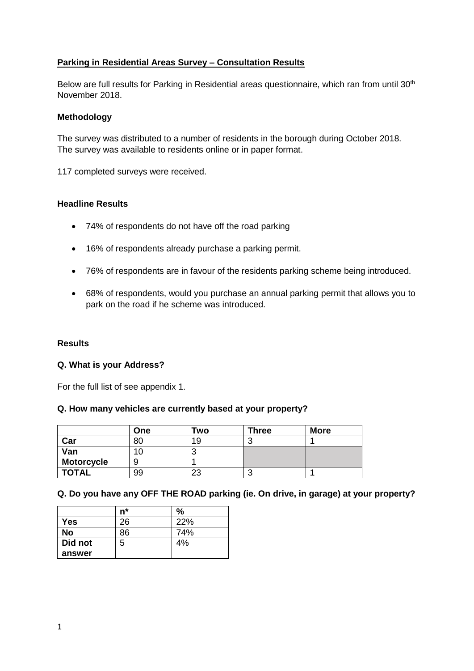# **Parking in Residential Areas Survey – Consultation Results**

Below are full results for Parking in Residential areas questionnaire, which ran from until 30<sup>th</sup> November 2018.

#### **Methodology**

The survey was distributed to a number of residents in the borough during October 2018. The survey was available to residents online or in paper format.

117 completed surveys were received.

## **Headline Results**

- 74% of respondents do not have off the road parking
- 16% of respondents already purchase a parking permit.
- 76% of respondents are in favour of the residents parking scheme being introduced.
- 68% of respondents, would you purchase an annual parking permit that allows you to park on the road if he scheme was introduced.

## **Results**

#### **Q. What is your Address?**

For the full list of see appendix 1.

#### **Q. How many vehicles are currently based at your property?**

|                   | One | Two    | <b>Three</b> | <b>More</b> |
|-------------------|-----|--------|--------------|-------------|
| Car               | 80  | 19     |              |             |
| Van               |     | ◠<br>ີ |              |             |
| <b>Motorcycle</b> |     |        |              |             |
| <b>TOTAL</b>      | 99  | 23     |              |             |

## **Q. Do you have any OFF THE ROAD parking (ie. On drive, in garage) at your property?**

|            | n* | $\%$ |
|------------|----|------|
| <b>Yes</b> | 26 | 22%  |
| <b>No</b>  | 86 | 74%  |
| Did not    | 5  | 4%   |
| answer     |    |      |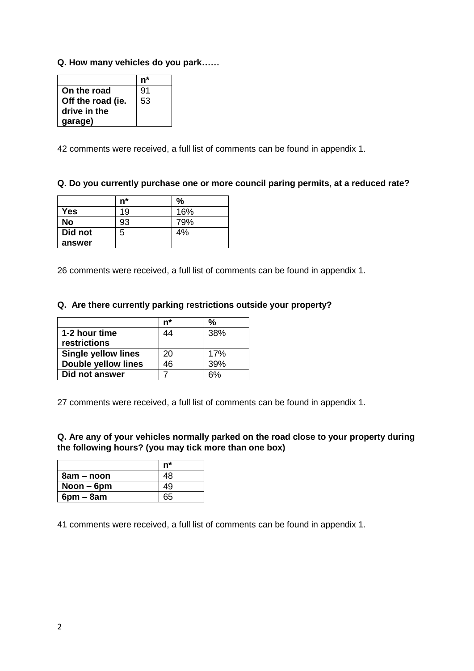## **Q. How many vehicles do you park……**

| On the road       | 91 |
|-------------------|----|
| Off the road (ie. | 53 |
| drive in the      |    |
| garage)           |    |

42 comments were received, a full list of comments can be found in appendix 1.

## **Q. Do you currently purchase one or more council paring permits, at a reduced rate?**

|         | $n^*$ | $\%$ |
|---------|-------|------|
| Yes     | 19    | 16%  |
| No      | 93    | 79%  |
| Did not | 5     | 4%   |
| answer  |       |      |

26 comments were received, a full list of comments can be found in appendix 1.

## **Q. Are there currently parking restrictions outside your property?**

|                            | n* | %   |
|----------------------------|----|-----|
| 1-2 hour time              | 44 | 38% |
| restrictions               |    |     |
| <b>Single yellow lines</b> | 20 | 17% |
| <b>Double yellow lines</b> | 46 | 39% |
| Did not answer             |    |     |

27 comments were received, a full list of comments can be found in appendix 1.

**Q. Are any of your vehicles normally parked on the road close to your property during the following hours? (you may tick more than one box)**

|              | n* |
|--------------|----|
| 8am – noon   | 48 |
| Noon $-$ 6pm | 49 |
| $6pm - 8am$  | 65 |

41 comments were received, a full list of comments can be found in appendix 1.